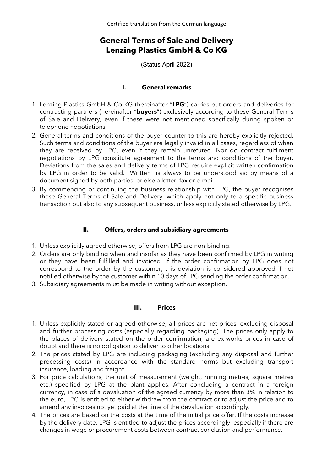Certified translation from the German language

# **General Terms of Sale and Delivery Lenzing Plastics GmbH & Co KG**

(Status April 2022)

#### **I. General remarks**

- 1. Lenzing Plastics GmbH & Co KG (hereinafter "**LPG**") carries out orders and deliveries for contracting partners (hereinafter "**buyers**") exclusively according to these General Terms of Sale and Delivery, even if these were not mentioned specifically during spoken or telephone negotiations.
- 2. General terms and conditions of the buyer counter to this are hereby explicitly rejected. Such terms and conditions of the buyer are legally invalid in all cases, regardless of when they are received by LPG, even if they remain unrefuted. Nor do contract fulfilment negotiations by LPG constitute agreement to the terms and conditions of the buyer. Deviations from the sales and delivery terms of LPG require explicit written confirmation by LPG in order to be valid. "Written" is always to be understood as: by means of a document signed by both parties, or else a letter, fax or e-mail.
- 3. By commencing or continuing the business relationship with LPG, the buyer recognises these General Terms of Sale and Delivery, which apply not only to a specific business transaction but also to any subsequent business, unless explicitly stated otherwise by LPG.

#### **II. Offers, orders and subsidiary agreements**

- 1. Unless explicitly agreed otherwise, offers from LPG are non-binding.
- 2. Orders are only binding when and insofar as they have been confirmed by LPG in writing or they have been fulfilled and invoiced. If the order confirmation by LPG does not correspond to the order by the customer, this deviation is considered approved if not notified otherwise by the customer within 10 days of LPG sending the order confirmation.
- 3. Subsidiary agreements must be made in writing without exception.

#### **III. Prices**

- 1. Unless explicitly stated or agreed otherwise, all prices are net prices, excluding disposal and further processing costs (especially regarding packaging). The prices only apply to the places of delivery stated on the order confirmation, are ex-works prices in case of doubt and there is no obligation to deliver to other locations.
- 2. The prices stated by LPG are including packaging (excluding any disposal and further processing costs) in accordance with the standard norms but excluding transport insurance, loading and freight.
- 3. For price calculations, the unit of measurement (weight, running metres, square metres etc.) specified by LPG at the plant applies. After concluding a contract in a foreign currency, in case of a devaluation of the agreed currency by more than 3% in relation to the euro, LPG is entitled to either withdraw from the contract or to adjust the price and to amend any invoices not yet paid at the time of the devaluation accordingly.
- 4. The prices are based on the costs at the time of the initial price offer. If the costs increase by the delivery date, LPG is entitled to adjust the prices accordingly, especially if there are changes in wage or procurement costs between contract conclusion and performance.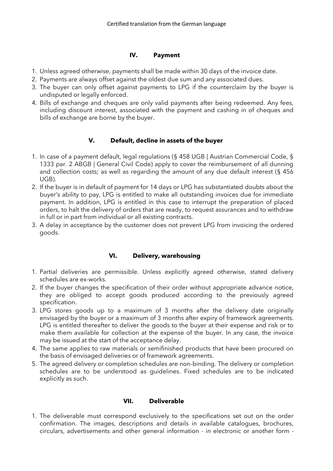# **IV. Payment**

- 1. Unless agreed otherwise, payments shall be made within 30 days of the invoice date.
- 2. Payments are always offset against the oldest due sum and any associated dues.
- 3. The buyer can only offset against payments to LPG if the counterclaim by the buyer is undisputed or legally enforced.
- 4. Bills of exchange and cheques are only valid payments after being redeemed. Any fees, including discount interest, associated with the payment and cashing in of cheques and bills of exchange are borne by the buyer.

# **V. Default, decline in assets of the buyer**

- 1. In case of a payment default, legal regulations (§ 458 UGB | Austrian Commercial Code, § 1333 par. 2 ABGB | General Civil Code) apply to cover the reimbursement of all dunning and collection costs; as well as regarding the amount of any due default interest (§ 456 UGB).
- 2. If the buyer is in default of payment for 14 days or LPG has substantiated doubts about the buyer's ability to pay, LPG is entitled to make all outstanding invoices due for immediate payment. In addition, LPG is entitled in this case to interrupt the preparation of placed orders, to halt the delivery of orders that are ready, to request assurances and to withdraw in full or in part from individual or all existing contracts.
- 3. A delay in acceptance by the customer does not prevent LPG from invoicing the ordered goods.

# **VI. Delivery, warehousing**

- 1. Partial deliveries are permissible. Unless explicitly agreed otherwise, stated delivery schedules are ex-works.
- 2. If the buyer changes the specification of their order without appropriate advance notice, they are obliged to accept goods produced according to the previously agreed specification.
- 3. LPG stores goods up to a maximum of 3 months after the delivery date originally envisaged by the buyer or a maximum of 3 months after expiry of framework agreements. LPG is entitled thereafter to deliver the goods to the buyer at their expense and risk or to make them available for collection at the expense of the buyer. In any case, the invoice may be issued at the start of the acceptance delay.
- 4. The same applies to raw materials or semifinished products that have been procured on the basis of envisaged deliveries or of framework agreements.
- 5. The agreed delivery or completion schedules are non-binding. The delivery or completion schedules are to be understood as guidelines. Fixed schedules are to be indicated explicitly as such.

# **VII. Deliverable**

1. The deliverable must correspond exclusively to the specifications set out on the order confirmation. The images, descriptions and details in available catalogues, brochures, circulars, advertisements and other general information - in electronic or another form -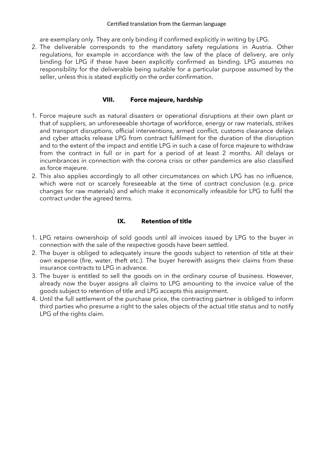#### Certified translation from the German language

are exemplary only. They are only binding if confirmed explicitly in writing by LPG.

2. The deliverable corresponds to the mandatory safety regulations in Austria. Other regulations, for example in accordance with the law of the place of delivery, are only binding for LPG if these have been explicitly confirmed as binding. LPG assumes no responsibility for the deliverable being suitable for a particular purpose assumed by the seller, unless this is stated explicitly on the order confirmation.

#### **VIII. Force majeure, hardship**

- 1. Force majeure such as natural disasters or operational disruptions at their own plant or that of suppliers, an unforeseeable shortage of workforce, energy or raw materials, strikes and transport disruptions, official interventions, armed conflict, customs clearance delays and cyber attacks release LPG from contract fulfilment for the duration of the disruption and to the extent of the impact and entitle LPG in such a case of force majeure to withdraw from the contract in full or in part for a period of at least 2 months. All delays or incumbrances in connection with the corona crisis or other pandemics are also classified as force majeure.
- 2. This also applies accordingly to all other circumstances on which LPG has no influence, which were not or scarcely foreseeable at the time of contract conclusion (e.g. price changes for raw materials) and which make it economically infeasible for LPG to fulfil the contract under the agreed terms.

### **IX. Retention of title**

- 1. LPG retains ownershoip of sold goods until all invoices issued by LPG to the buyer in connection with the sale of the respective goods have been settled.
- 2. The buyer is obliged to adequately insure the goods subject to retention of title at their own expense (fire, water, theft etc.). The buyer herewith assigns their claims from these insurance contracts to LPG in advance.
- 3. The buyer is entitled to sell the goods on in the ordinary course of business. However, already now the buyer assigns all claims to LPG amounting to the invoice value of the goods subject to retention of title and LPG accepts this assignment.
- 4. Until the full settlement of the purchase price, the contracting partner is obliged to inform third parties who presume a right to the sales objects of the actual title status and to notify LPG of the rights claim.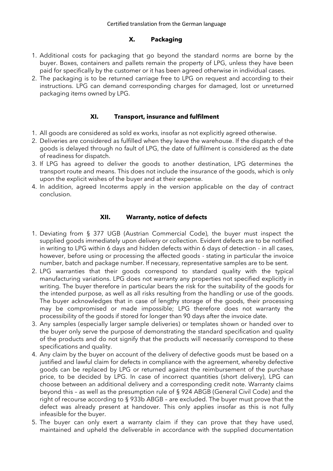## **X. Packaging**

- 1. Additional costs for packaging that go beyond the standard norms are borne by the buyer. Boxes, containers and pallets remain the property of LPG, unless they have been paid for specifically by the customer or it has been agreed otherwise in individual cases.
- 2. The packaging is to be returned carriage free to LPG on request and according to their instructions. LPG can demand corresponding charges for damaged, lost or unreturned packaging items owned by LPG.

## **XI. Transport, insurance and fulfilment**

- 1. All goods are considered as sold ex works, insofar as not explicitly agreed otherwise.
- 2. Deliveries are considered as fulfilled when they leave the warehouse. If the dispatch of the goods is delayed through no fault of LPG, the date of fulfilment is considered as the date of readiness for dispatch.
- 3. If LPG has agreed to deliver the goods to another destination, LPG determines the transport route and means. This does not include the insurance of the goods, which is only upon the explicit wishes of the buyer and at their expense.
- 4. In addition, agreed Incoterms apply in the version applicable on the day of contract conclusion.

# **XII. Warranty, notice of defects**

- 1. Deviating from § 377 UGB (Austrian Commercial Code), the buyer must inspect the supplied goods immediately upon delivery or collection. Evident defects are to be notified in writing to LPG within 6 days and hidden defects within 6 days of detection - in all cases, however, before using or processing the affected goods - stating in particular the invoice number, batch and package number. If necessary, representative samples are to be sent.
- 2. LPG warranties that their goods correspond to standard quality with the typical manufacturing variations. LPG does not warranty any properties not specified explicitly in writing. The buyer therefore in particular bears the risk for the suitability of the goods for the intended purpose, as well as all risks resulting from the handling or use of the goods. The buyer acknowledges that in case of lengthy storage of the goods, their processing may be compromised or made impossible; LPG therefore does not warranty the processibility of the goods if stored for longer than 90 days after the invoice date.
- 3. Any samples (especially larger sample deliveries) or templates shown or handed over to the buyer only serve the purpose of demonstrating the standard specification and quality of the products and do not signify that the products will necessarily correspond to these specifications and quality.
- 4. Any claim by the buyer on account of the delivery of defective goods must be based on a justified and lawful claim for defects in compliance with the agreement, whereby defective goods can be replaced by LPG or returned against the reimbursement of the purchase price, to be decided by LPG. In case of incorrect quantities (short delivery), LPG can choose between an additional delivery and a corresponding credit note. Warranty claims beyond this – as well as the presumption rule of § 924 ABGB (General Civil Code) and the right of recourse according to § 933b ABGB – are excluded. The buyer must prove that the defect was already present at handover. This only applies insofar as this is not fully infeasible for the buyer.
- 5. The buyer can only exert a warranty claim if they can prove that they have used, maintained and upheld the deliverable in accordance with the supplied documentation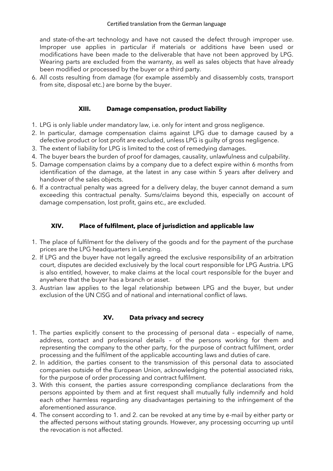and state-of-the-art technology and have not caused the defect through improper use. Improper use applies in particular if materials or additions have been used or modifications have been made to the deliverable that have not been approved by LPG. Wearing parts are excluded from the warranty, as well as sales objects that have already been modified or processed by the buyer or a third party.

6. All costs resulting from damage (for example assembly and disassembly costs, transport from site, disposal etc.) are borne by the buyer.

### **XIII. Damage compensation, product liability**

- 1. LPG is only liable under mandatory law, i.e. only for intent and gross negligence.
- 2. In particular, damage compensation claims against LPG due to damage caused by a defective product or lost profit are excluded, unless LPG is guilty of gross negligence.
- 3. The extent of liability for LPG is limited to the cost of remedying damages.
- 4. The buyer bears the burden of proof for damages, causality, unlawfulness and culpability.
- 5. Damage compensation claims by a company due to a defect expire within 6 months from identification of the damage, at the latest in any case within 5 years after delivery and handover of the sales objects.
- 6. If a contractual penalty was agreed for a delivery delay, the buyer cannot demand a sum exceeding this contractual penalty. Sums/claims beyond this, especially on account of damage compensation, lost profit, gains etc., are excluded.

## **XIV. Place of fulfilment, place of jurisdiction and applicable law**

- 1. The place of fulfilment for the delivery of the goods and for the payment of the purchase prices are the LPG headquarters in Lenzing.
- 2. If LPG and the buyer have not legally agreed the exclusive responsibility of an arbitration court, disputes are decided exclusively by the local court responsible for LPG Austria. LPG is also entitled, however, to make claims at the local court responsible for the buyer and anywhere that the buyer has a branch or asset.
- 3. Austrian law applies to the legal relationship between LPG and the buyer, but under exclusion of the UN CISG and of national and international conflict of laws.

### **XV. Data privacy and secrecy**

- 1. The parties explicitly consent to the processing of personal data especially of name, address, contact and professional details – of the persons working for them and representing the company to the other party, for the purpose of contract fulfilment, order processing and the fulfilment of the applicable accounting laws and duties of care.
- 2. In addition, the parties consent to the transmission of this personal data to associated companies outside of the European Union, acknowledging the potential associated risks, for the purpose of order processing and contract fulfilment.
- 3. With this consent, the parties assure corresponding compliance declarations from the persons appointed by them and at first request shall mutually fully indemnify and hold each other harmless regarding any disadvantages pertaining to the infringement of the aforementioned assurance.
- 4. The consent according to 1. and 2. can be revoked at any time by e-mail by either party or the affected persons without stating grounds. However, any processing occurring up until the revocation is not affected.